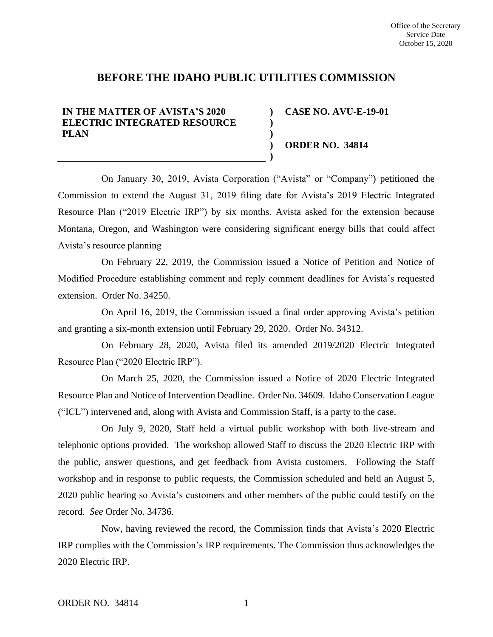# **BEFORE THE IDAHO PUBLIC UTILITIES COMMISSION**

**) ) ) ) )**

## **IN THE MATTER OF AVISTA'S 2020 ELECTRIC INTEGRATED RESOURCE PLAN**

**CASE NO. AVU-E-19-01**

**ORDER NO. 34814**

On January 30, 2019, Avista Corporation ("Avista" or "Company") petitioned the Commission to extend the August 31, 2019 filing date for Avista's 2019 Electric Integrated Resource Plan ("2019 Electric IRP") by six months. Avista asked for the extension because Montana, Oregon, and Washington were considering significant energy bills that could affect Avista's resource planning

On February 22, 2019, the Commission issued a Notice of Petition and Notice of Modified Procedure establishing comment and reply comment deadlines for Avista's requested extension. Order No. 34250.

On April 16, 2019, the Commission issued a final order approving Avista's petition and granting a six-month extension until February 29, 2020. Order No. 34312.

On February 28, 2020, Avista filed its amended 2019/2020 Electric Integrated Resource Plan ("2020 Electric IRP").

On March 25, 2020, the Commission issued a Notice of 2020 Electric Integrated Resource Plan and Notice of Intervention Deadline. Order No. 34609. Idaho Conservation League ("ICL") intervened and, along with Avista and Commission Staff, is a party to the case.

On July 9, 2020, Staff held a virtual public workshop with both live-stream and telephonic options provided. The workshop allowed Staff to discuss the 2020 Electric IRP with the public, answer questions, and get feedback from Avista customers. Following the Staff workshop and in response to public requests, the Commission scheduled and held an August 5, 2020 public hearing so Avista's customers and other members of the public could testify on the record. *See* Order No. 34736.

Now, having reviewed the record, the Commission finds that Avista's 2020 Electric IRP complies with the Commission's IRP requirements. The Commission thus acknowledges the 2020 Electric IRP.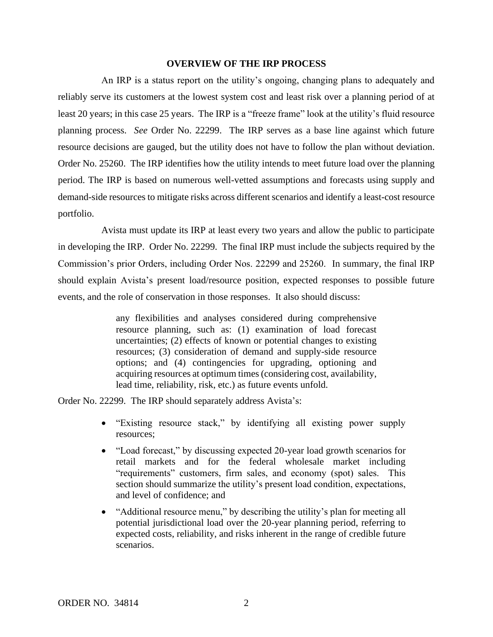### **OVERVIEW OF THE IRP PROCESS**

An IRP is a status report on the utility's ongoing, changing plans to adequately and reliably serve its customers at the lowest system cost and least risk over a planning period of at least 20 years; in this case 25 years. The IRP is a "freeze frame" look at the utility's fluid resource planning process. *See* Order No. 22299. The IRP serves as a base line against which future resource decisions are gauged, but the utility does not have to follow the plan without deviation. Order No. 25260. The IRP identifies how the utility intends to meet future load over the planning period. The IRP is based on numerous well-vetted assumptions and forecasts using supply and demand-side resources to mitigate risks across different scenarios and identify a least-cost resource portfolio.

Avista must update its IRP at least every two years and allow the public to participate in developing the IRP. Order No. 22299. The final IRP must include the subjects required by the Commission's prior Orders, including Order Nos. 22299 and 25260. In summary, the final IRP should explain Avista's present load/resource position, expected responses to possible future events, and the role of conservation in those responses. It also should discuss:

> any flexibilities and analyses considered during comprehensive resource planning, such as: (1) examination of load forecast uncertainties; (2) effects of known or potential changes to existing resources; (3) consideration of demand and supply-side resource options; and (4) contingencies for upgrading, optioning and acquiring resources at optimum times (considering cost, availability, lead time, reliability, risk, etc.) as future events unfold.

Order No. 22299. The IRP should separately address Avista's:

- "Existing resource stack," by identifying all existing power supply resources;
- "Load forecast," by discussing expected 20-year load growth scenarios for retail markets and for the federal wholesale market including "requirements" customers, firm sales, and economy (spot) sales. This section should summarize the utility's present load condition, expectations, and level of confidence; and
- "Additional resource menu," by describing the utility's plan for meeting all potential jurisdictional load over the 20-year planning period, referring to expected costs, reliability, and risks inherent in the range of credible future scenarios.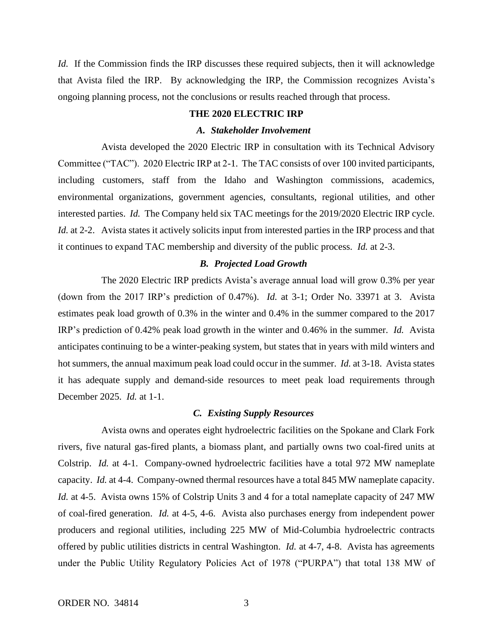*Id.* If the Commission finds the IRP discusses these required subjects, then it will acknowledge that Avista filed the IRP. By acknowledging the IRP, the Commission recognizes Avista's ongoing planning process, not the conclusions or results reached through that process.

#### **THE 2020 ELECTRIC IRP**

### *A. Stakeholder Involvement*

Avista developed the 2020 Electric IRP in consultation with its Technical Advisory Committee ("TAC"). 2020 Electric IRP at 2-1. The TAC consists of over 100 invited participants, including customers, staff from the Idaho and Washington commissions, academics, environmental organizations, government agencies, consultants, regional utilities, and other interested parties. *Id.* The Company held six TAC meetings for the 2019/2020 Electric IRP cycle. *Id.* at 2-2. Avista states it actively solicits input from interested parties in the IRP process and that it continues to expand TAC membership and diversity of the public process. *Id.* at 2-3.

### *B. Projected Load Growth*

The 2020 Electric IRP predicts Avista's average annual load will grow 0.3% per year (down from the 2017 IRP's prediction of 0.47%). *Id.* at 3-1; Order No. 33971 at 3. Avista estimates peak load growth of 0.3% in the winter and 0.4% in the summer compared to the 2017 IRP's prediction of 0.42% peak load growth in the winter and 0.46% in the summer. *Id.* Avista anticipates continuing to be a winter-peaking system, but states that in years with mild winters and hot summers, the annual maximum peak load could occur in the summer. *Id.* at 3-18. Avista states it has adequate supply and demand-side resources to meet peak load requirements through December 2025. *Id.* at 1-1.

### *C. Existing Supply Resources*

Avista owns and operates eight hydroelectric facilities on the Spokane and Clark Fork rivers, five natural gas-fired plants, a biomass plant, and partially owns two coal-fired units at Colstrip. *Id.* at 4-1. Company-owned hydroelectric facilities have a total 972 MW nameplate capacity. *Id.* at 4-4. Company-owned thermal resources have a total 845 MW nameplate capacity. *Id.* at 4-5. Avista owns 15% of Colstrip Units 3 and 4 for a total nameplate capacity of 247 MW of coal-fired generation. *Id.* at 4-5, 4-6. Avista also purchases energy from independent power producers and regional utilities, including 225 MW of Mid-Columbia hydroelectric contracts offered by public utilities districts in central Washington. *Id.* at 4-7, 4-8.Avista has agreements under the Public Utility Regulatory Policies Act of 1978 ("PURPA") that total 138 MW of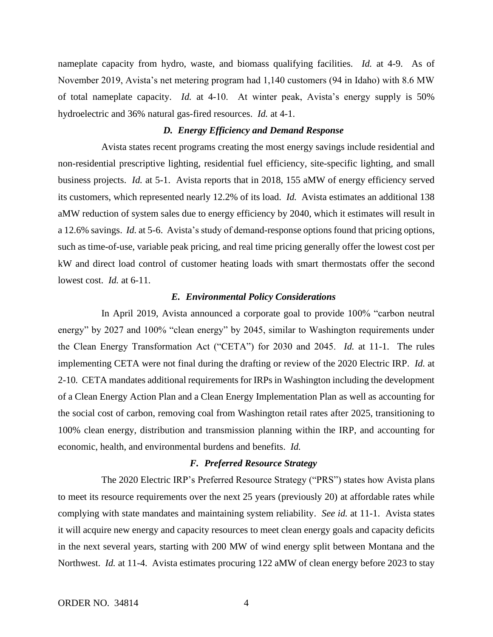nameplate capacity from hydro, waste, and biomass qualifying facilities. *Id.* at 4-9. As of November 2019, Avista's net metering program had 1,140 customers (94 in Idaho) with 8.6 MW of total nameplate capacity. *Id.* at 4-10. At winter peak, Avista's energy supply is 50% hydroelectric and 36% natural gas-fired resources. *Id.* at 4-1.

### *D. Energy Efficiency and Demand Response*

Avista states recent programs creating the most energy savings include residential and non-residential prescriptive lighting, residential fuel efficiency, site-specific lighting, and small business projects. *Id.* at 5-1. Avista reports that in 2018, 155 aMW of energy efficiency served its customers, which represented nearly 12.2% of its load. *Id.* Avista estimates an additional 138 aMW reduction of system sales due to energy efficiency by 2040, which it estimates will result in a 12.6% savings. *Id.* at 5-6. Avista's study of demand-response options found that pricing options, such as time-of-use, variable peak pricing, and real time pricing generally offer the lowest cost per kW and direct load control of customer heating loads with smart thermostats offer the second lowest cost. *Id.* at 6-11.

### *E. Environmental Policy Considerations*

In April 2019, Avista announced a corporate goal to provide 100% "carbon neutral energy" by 2027 and 100% "clean energy" by 2045, similar to Washington requirements under the Clean Energy Transformation Act ("CETA") for 2030 and 2045. *Id.* at 11-1. The rules implementing CETA were not final during the drafting or review of the 2020 Electric IRP. *Id.* at 2-10*.* CETA mandates additional requirements for IRPs in Washington including the development of a Clean Energy Action Plan and a Clean Energy Implementation Plan as well as accounting for the social cost of carbon, removing coal from Washington retail rates after 2025, transitioning to 100% clean energy, distribution and transmission planning within the IRP, and accounting for economic, health, and environmental burdens and benefits. *Id.* 

### *F. Preferred Resource Strategy*

The 2020 Electric IRP's Preferred Resource Strategy ("PRS") states how Avista plans to meet its resource requirements over the next 25 years (previously 20) at affordable rates while complying with state mandates and maintaining system reliability. *See id.* at 11-1. Avista states it will acquire new energy and capacity resources to meet clean energy goals and capacity deficits in the next several years, starting with 200 MW of wind energy split between Montana and the Northwest. *Id.* at 11-4. Avista estimates procuring 122 aMW of clean energy before 2023 to stay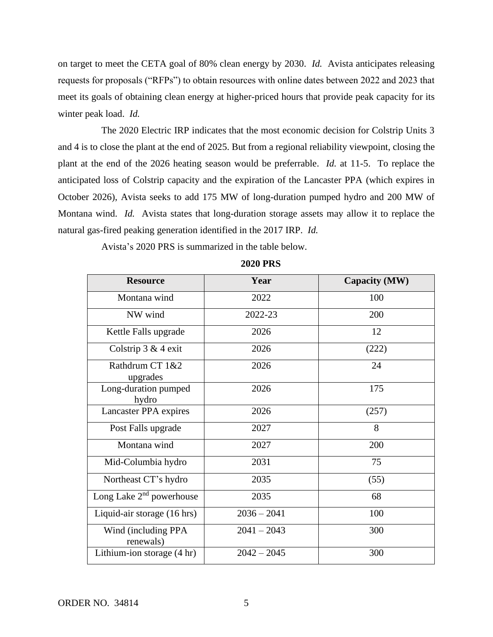on target to meet the CETA goal of 80% clean energy by 2030. *Id.* Avista anticipates releasing requests for proposals ("RFPs") to obtain resources with online dates between 2022 and 2023 that meet its goals of obtaining clean energy at higher-priced hours that provide peak capacity for its winter peak load. *Id.* 

The 2020 Electric IRP indicates that the most economic decision for Colstrip Units 3 and 4 is to close the plant at the end of 2025. But from a regional reliability viewpoint, closing the plant at the end of the 2026 heating season would be preferrable. *Id.* at 11-5. To replace the anticipated loss of Colstrip capacity and the expiration of the Lancaster PPA (which expires in October 2026), Avista seeks to add 175 MW of long-duration pumped hydro and 200 MW of Montana wind. *Id.* Avista states that long-duration storage assets may allow it to replace the natural gas-fired peaking generation identified in the 2017 IRP. *Id.* 

Avista's 2020 PRS is summarized in the table below.

| <b>Resource</b>                   | Year          | Capacity (MW) |
|-----------------------------------|---------------|---------------|
| Montana wind                      | 2022          | 100           |
| NW wind                           | 2022-23       | 200           |
| Kettle Falls upgrade              | 2026          | 12            |
| Colstrip $3 & 4$ exit             | 2026          | (222)         |
| Rathdrum CT 1&2<br>upgrades       | 2026          | 24            |
| Long-duration pumped<br>hydro     | 2026          | 175           |
| Lancaster PPA expires             | 2026          | (257)         |
| Post Falls upgrade                | 2027          | 8             |
| Montana wind                      | 2027          | 200           |
| Mid-Columbia hydro                | 2031          | 75            |
| Northeast CT's hydro              | 2035          | (55)          |
| Long Lake $2nd$ powerhouse        | 2035          | 68            |
| Liquid-air storage (16 hrs)       | $2036 - 2041$ | 100           |
| Wind (including PPA)<br>renewals) | $2041 - 2043$ | 300           |
| Lithium-ion storage $(4 hr)$      | $2042 - 2045$ | 300           |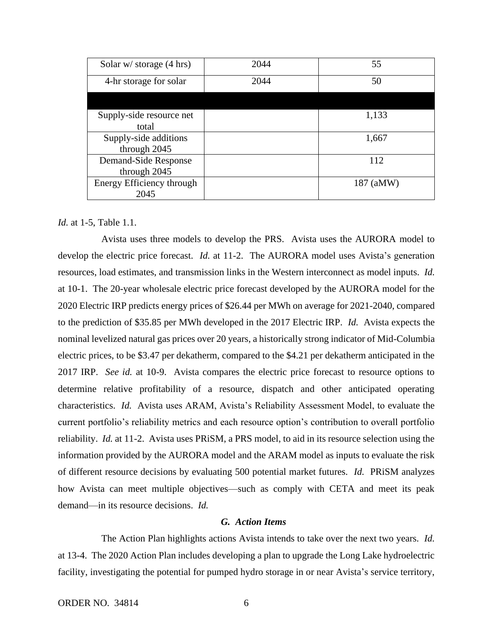| Solar $w$ storage $(4 \text{ hrs})$   | 2044 | 55        |
|---------------------------------------|------|-----------|
| 4-hr storage for solar                | 2044 | 50        |
|                                       |      |           |
| Supply-side resource net<br>total     |      | 1,133     |
| Supply-side additions<br>through 2045 |      | 1,667     |
| Demand-Side Response<br>through 2045  |      | 112       |
| Energy Efficiency through<br>2045     |      | 187 (aMW) |

### *Id.* at 1-5, Table 1.1.

Avista uses three models to develop the PRS. Avista uses the AURORA model to develop the electric price forecast. *Id.* at 11-2. The AURORA model uses Avista's generation resources, load estimates, and transmission links in the Western interconnect as model inputs. *Id.*  at 10-1. The 20-year wholesale electric price forecast developed by the AURORA model for the 2020 Electric IRP predicts energy prices of \$26.44 per MWh on average for 2021-2040, compared to the prediction of \$35.85 per MWh developed in the 2017 Electric IRP. *Id.* Avista expects the nominal levelized natural gas prices over 20 years, a historically strong indicator of Mid-Columbia electric prices, to be \$3.47 per dekatherm, compared to the \$4.21 per dekatherm anticipated in the 2017 IRP. *See id.* at 10-9. Avista compares the electric price forecast to resource options to determine relative profitability of a resource, dispatch and other anticipated operating characteristics. *Id.* Avista uses ARAM, Avista's Reliability Assessment Model, to evaluate the current portfolio's reliability metrics and each resource option's contribution to overall portfolio reliability. *Id.* at 11-2. Avista uses PRiSM, a PRS model, to aid in its resource selection using the information provided by the AURORA model and the ARAM model as inputs to evaluate the risk of different resource decisions by evaluating 500 potential market futures. *Id.* PRiSM analyzes how Avista can meet multiple objectives—such as comply with CETA and meet its peak demand—in its resource decisions. *Id.* 

### *G. Action Items*

The Action Plan highlights actions Avista intends to take over the next two years. *Id.*  at 13-4. The 2020 Action Plan includes developing a plan to upgrade the Long Lake hydroelectric facility, investigating the potential for pumped hydro storage in or near Avista's service territory,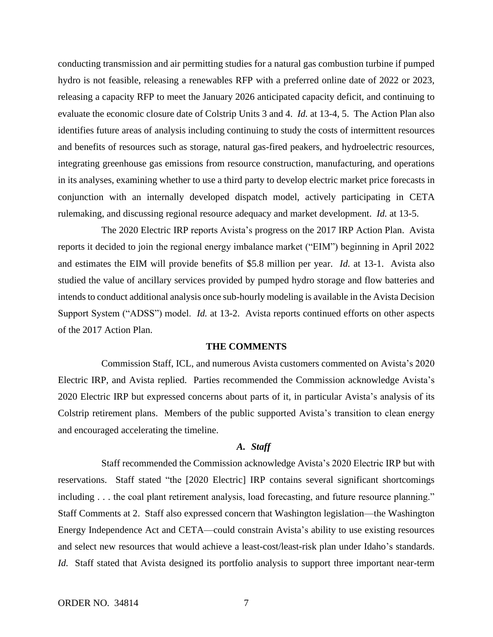conducting transmission and air permitting studies for a natural gas combustion turbine if pumped hydro is not feasible, releasing a renewables RFP with a preferred online date of 2022 or 2023, releasing a capacity RFP to meet the January 2026 anticipated capacity deficit, and continuing to evaluate the economic closure date of Colstrip Units 3 and 4. *Id.* at 13-4, 5. The Action Plan also identifies future areas of analysis including continuing to study the costs of intermittent resources and benefits of resources such as storage, natural gas-fired peakers, and hydroelectric resources, integrating greenhouse gas emissions from resource construction, manufacturing, and operations in its analyses, examining whether to use a third party to develop electric market price forecasts in conjunction with an internally developed dispatch model, actively participating in CETA rulemaking, and discussing regional resource adequacy and market development. *Id.* at 13-5.

The 2020 Electric IRP reports Avista's progress on the 2017 IRP Action Plan. Avista reports it decided to join the regional energy imbalance market ("EIM") beginning in April 2022 and estimates the EIM will provide benefits of \$5.8 million per year. *Id.* at 13-1. Avista also studied the value of ancillary services provided by pumped hydro storage and flow batteries and intends to conduct additional analysis once sub-hourly modeling is available in the Avista Decision Support System ("ADSS") model. *Id.* at 13-2. Avista reports continued efforts on other aspects of the 2017 Action Plan.

### **THE COMMENTS**

Commission Staff, ICL, and numerous Avista customers commented on Avista's 2020 Electric IRP, and Avista replied. Parties recommended the Commission acknowledge Avista's 2020 Electric IRP but expressed concerns about parts of it, in particular Avista's analysis of its Colstrip retirement plans. Members of the public supported Avista's transition to clean energy and encouraged accelerating the timeline.

## *A. Staff*

Staff recommended the Commission acknowledge Avista's 2020 Electric IRP but with reservations. Staff stated "the [2020 Electric] IRP contains several significant shortcomings including . . . the coal plant retirement analysis, load forecasting, and future resource planning." Staff Comments at 2. Staff also expressed concern that Washington legislation—the Washington Energy Independence Act and CETA—could constrain Avista's ability to use existing resources and select new resources that would achieve a least-cost/least-risk plan under Idaho's standards. *Id.* Staff stated that Avista designed its portfolio analysis to support three important near-term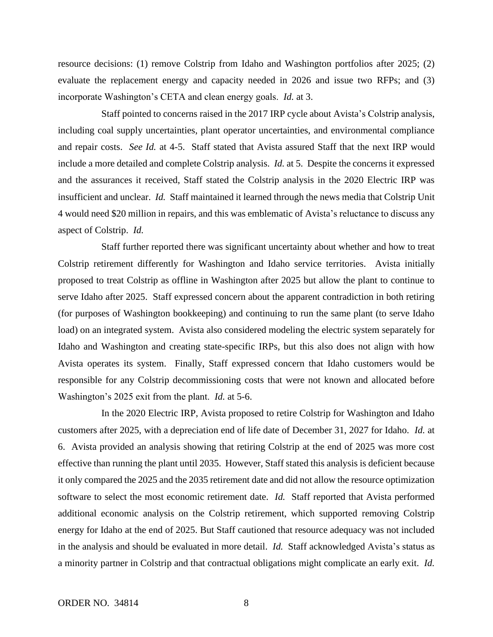resource decisions: (1) remove Colstrip from Idaho and Washington portfolios after 2025; (2) evaluate the replacement energy and capacity needed in 2026 and issue two RFPs; and (3) incorporate Washington's CETA and clean energy goals. *Id.* at 3.

Staff pointed to concerns raised in the 2017 IRP cycle about Avista's Colstrip analysis, including coal supply uncertainties, plant operator uncertainties, and environmental compliance and repair costs. *See Id.* at 4-5. Staff stated that Avista assured Staff that the next IRP would include a more detailed and complete Colstrip analysis. *Id.* at 5. Despite the concerns it expressed and the assurances it received, Staff stated the Colstrip analysis in the 2020 Electric IRP was insufficient and unclear. *Id.* Staff maintained it learned through the news media that Colstrip Unit 4 would need \$20 million in repairs, and this was emblematic of Avista's reluctance to discuss any aspect of Colstrip. *Id.* 

Staff further reported there was significant uncertainty about whether and how to treat Colstrip retirement differently for Washington and Idaho service territories. Avista initially proposed to treat Colstrip as offline in Washington after 2025 but allow the plant to continue to serve Idaho after 2025. Staff expressed concern about the apparent contradiction in both retiring (for purposes of Washington bookkeeping) and continuing to run the same plant (to serve Idaho load) on an integrated system. Avista also considered modeling the electric system separately for Idaho and Washington and creating state-specific IRPs, but this also does not align with how Avista operates its system. Finally, Staff expressed concern that Idaho customers would be responsible for any Colstrip decommissioning costs that were not known and allocated before Washington's 2025 exit from the plant. *Id.* at 5-6.

In the 2020 Electric IRP, Avista proposed to retire Colstrip for Washington and Idaho customers after 2025, with a depreciation end of life date of December 31, 2027 for Idaho. *Id.* at 6. Avista provided an analysis showing that retiring Colstrip at the end of 2025 was more cost effective than running the plant until 2035. However, Staff stated this analysis is deficient because it only compared the 2025 and the 2035 retirement date and did not allow the resource optimization software to select the most economic retirement date. *Id.* Staff reported that Avista performed additional economic analysis on the Colstrip retirement, which supported removing Colstrip energy for Idaho at the end of 2025. But Staff cautioned that resource adequacy was not included in the analysis and should be evaluated in more detail. *Id.* Staff acknowledged Avista's status as a minority partner in Colstrip and that contractual obligations might complicate an early exit. *Id.*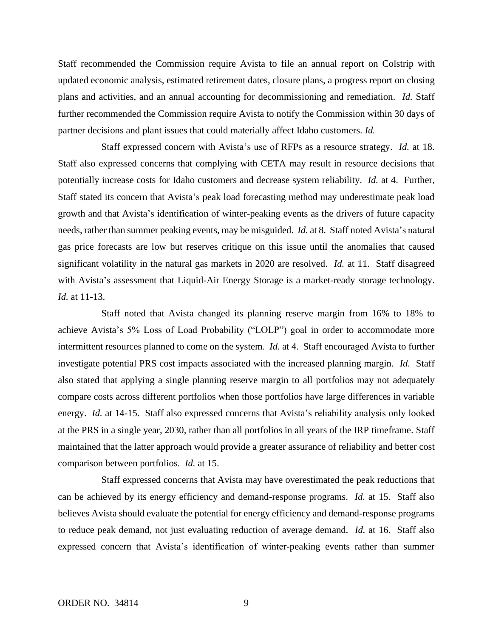Staff recommended the Commission require Avista to file an annual report on Colstrip with updated economic analysis, estimated retirement dates, closure plans, a progress report on closing plans and activities, and an annual accounting for decommissioning and remediation. *Id.* Staff further recommended the Commission require Avista to notify the Commission within 30 days of partner decisions and plant issues that could materially affect Idaho customers. *Id.* 

Staff expressed concern with Avista's use of RFPs as a resource strategy. *Id.* at 18. Staff also expressed concerns that complying with CETA may result in resource decisions that potentially increase costs for Idaho customers and decrease system reliability. *Id.* at 4. Further, Staff stated its concern that Avista's peak load forecasting method may underestimate peak load growth and that Avista's identification of winter-peaking events as the drivers of future capacity needs, rather than summer peaking events, may be misguided. *Id.* at 8. Staff noted Avista's natural gas price forecasts are low but reserves critique on this issue until the anomalies that caused significant volatility in the natural gas markets in 2020 are resolved. *Id.* at 11. Staff disagreed with Avista's assessment that Liquid-Air Energy Storage is a market-ready storage technology. *Id.* at 11-13.

Staff noted that Avista changed its planning reserve margin from 16% to 18% to achieve Avista's 5% Loss of Load Probability ("LOLP") goal in order to accommodate more intermittent resources planned to come on the system. *Id.* at 4. Staff encouraged Avista to further investigate potential PRS cost impacts associated with the increased planning margin. *Id.* Staff also stated that applying a single planning reserve margin to all portfolios may not adequately compare costs across different portfolios when those portfolios have large differences in variable energy. *Id.* at 14-15. Staff also expressed concerns that Avista's reliability analysis only looked at the PRS in a single year, 2030, rather than all portfolios in all years of the IRP timeframe. Staff maintained that the latter approach would provide a greater assurance of reliability and better cost comparison between portfolios. *Id.* at 15.

Staff expressed concerns that Avista may have overestimated the peak reductions that can be achieved by its energy efficiency and demand-response programs. *Id.* at 15. Staff also believes Avista should evaluate the potential for energy efficiency and demand-response programs to reduce peak demand, not just evaluating reduction of average demand. *Id.* at 16. Staff also expressed concern that Avista's identification of winter-peaking events rather than summer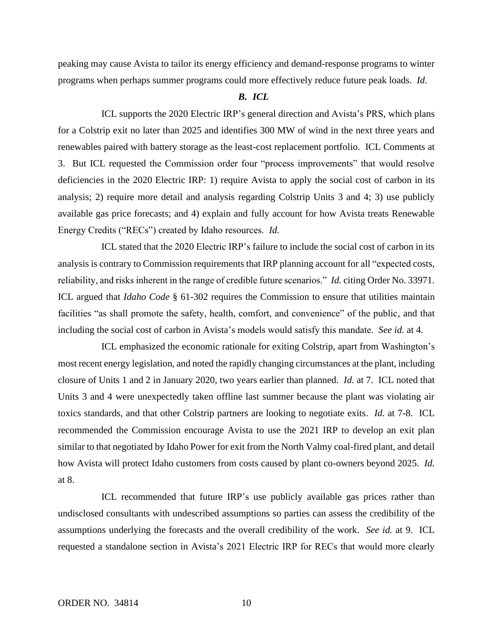peaking may cause Avista to tailor its energy efficiency and demand-response programs to winter programs when perhaps summer programs could more effectively reduce future peak loads. *Id.* 

## *B. ICL*

ICL supports the 2020 Electric IRP's general direction and Avista's PRS, which plans for a Colstrip exit no later than 2025 and identifies 300 MW of wind in the next three years and renewables paired with battery storage as the least-cost replacement portfolio. ICL Comments at 3. But ICL requested the Commission order four "process improvements" that would resolve deficiencies in the 2020 Electric IRP: 1) require Avista to apply the social cost of carbon in its analysis; 2) require more detail and analysis regarding Colstrip Units 3 and 4; 3) use publicly available gas price forecasts; and 4) explain and fully account for how Avista treats Renewable Energy Credits ("RECs") created by Idaho resources. *Id.*

ICL stated that the 2020 Electric IRP's failure to include the social cost of carbon in its analysis is contrary to Commission requirements that IRP planning account for all "expected costs, reliability, and risks inherent in the range of credible future scenarios." *Id.* citing Order No. 33971. ICL argued that *Idaho Code* § 61-302 requires the Commission to ensure that utilities maintain facilities "as shall promote the safety, health, comfort, and convenience" of the public, and that including the social cost of carbon in Avista's models would satisfy this mandate. *See id.* at 4.

ICL emphasized the economic rationale for exiting Colstrip, apart from Washington's most recent energy legislation, and noted the rapidly changing circumstances at the plant, including closure of Units 1 and 2 in January 2020, two years earlier than planned. *Id.* at 7. ICL noted that Units 3 and 4 were unexpectedly taken offline last summer because the plant was violating air toxics standards, and that other Colstrip partners are looking to negotiate exits. *Id.* at 7-8. ICL recommended the Commission encourage Avista to use the 2021 IRP to develop an exit plan similar to that negotiated by Idaho Power for exit from the North Valmy coal-fired plant, and detail how Avista will protect Idaho customers from costs caused by plant co-owners beyond 2025. *Id.*  at 8.

ICL recommended that future IRP's use publicly available gas prices rather than undisclosed consultants with undescribed assumptions so parties can assess the credibility of the assumptions underlying the forecasts and the overall credibility of the work. *See id.* at 9. ICL requested a standalone section in Avista's 2021 Electric IRP for RECs that would more clearly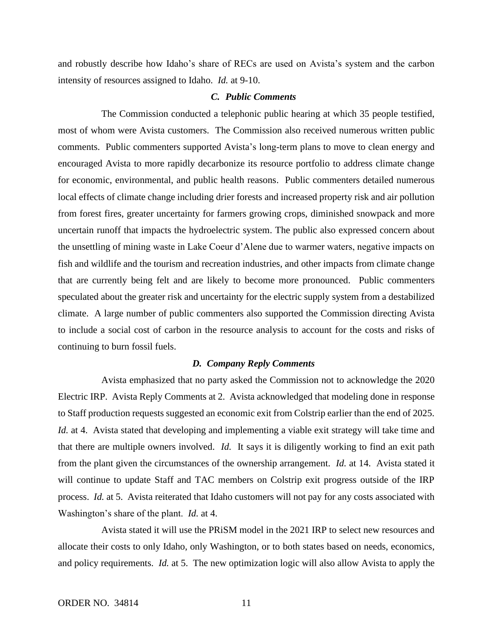and robustly describe how Idaho's share of RECs are used on Avista's system and the carbon intensity of resources assigned to Idaho. *Id.* at 9-10.

### *C. Public Comments*

The Commission conducted a telephonic public hearing at which 35 people testified, most of whom were Avista customers. The Commission also received numerous written public comments. Public commenters supported Avista's long-term plans to move to clean energy and encouraged Avista to more rapidly decarbonize its resource portfolio to address climate change for economic, environmental, and public health reasons. Public commenters detailed numerous local effects of climate change including drier forests and increased property risk and air pollution from forest fires, greater uncertainty for farmers growing crops, diminished snowpack and more uncertain runoff that impacts the hydroelectric system. The public also expressed concern about the unsettling of mining waste in Lake Coeur d'Alene due to warmer waters, negative impacts on fish and wildlife and the tourism and recreation industries, and other impacts from climate change that are currently being felt and are likely to become more pronounced. Public commenters speculated about the greater risk and uncertainty for the electric supply system from a destabilized climate. A large number of public commenters also supported the Commission directing Avista to include a social cost of carbon in the resource analysis to account for the costs and risks of continuing to burn fossil fuels.

### *D. Company Reply Comments*

Avista emphasized that no party asked the Commission not to acknowledge the 2020 Electric IRP. Avista Reply Comments at 2. Avista acknowledged that modeling done in response to Staff production requests suggested an economic exit from Colstrip earlier than the end of 2025. *Id.* at 4. Avista stated that developing and implementing a viable exit strategy will take time and that there are multiple owners involved. *Id.* It says it is diligently working to find an exit path from the plant given the circumstances of the ownership arrangement. *Id.* at 14. Avista stated it will continue to update Staff and TAC members on Colstrip exit progress outside of the IRP process. *Id.* at 5. Avista reiterated that Idaho customers will not pay for any costs associated with Washington's share of the plant. *Id.* at 4.

Avista stated it will use the PRiSM model in the 2021 IRP to select new resources and allocate their costs to only Idaho, only Washington, or to both states based on needs, economics, and policy requirements. *Id.* at 5. The new optimization logic will also allow Avista to apply the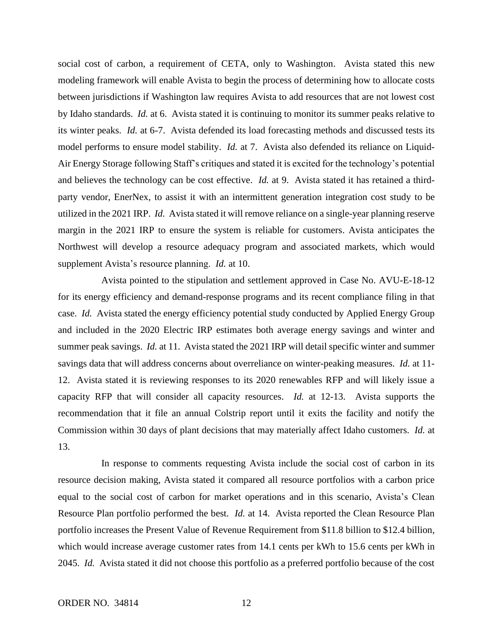social cost of carbon, a requirement of CETA, only to Washington. Avista stated this new modeling framework will enable Avista to begin the process of determining how to allocate costs between jurisdictions if Washington law requires Avista to add resources that are not lowest cost by Idaho standards. *Id.* at 6. Avista stated it is continuing to monitor its summer peaks relative to its winter peaks. *Id.* at 6-7. Avista defended its load forecasting methods and discussed tests its model performs to ensure model stability. *Id.* at 7. Avista also defended its reliance on Liquid-Air Energy Storage following Staff's critiques and stated it is excited for the technology's potential and believes the technology can be cost effective. *Id.* at 9. Avista stated it has retained a thirdparty vendor, EnerNex, to assist it with an intermittent generation integration cost study to be utilized in the 2021 IRP. *Id.* Avista stated it will remove reliance on a single-year planning reserve margin in the 2021 IRP to ensure the system is reliable for customers. Avista anticipates the Northwest will develop a resource adequacy program and associated markets, which would supplement Avista's resource planning. *Id.* at 10.

Avista pointed to the stipulation and settlement approved in Case No. AVU-E-18-12 for its energy efficiency and demand-response programs and its recent compliance filing in that case. *Id.* Avista stated the energy efficiency potential study conducted by Applied Energy Group and included in the 2020 Electric IRP estimates both average energy savings and winter and summer peak savings. *Id.* at 11. Avista stated the 2021 IRP will detail specific winter and summer savings data that will address concerns about overreliance on winter-peaking measures. *Id.* at 11- 12. Avista stated it is reviewing responses to its 2020 renewables RFP and will likely issue a capacity RFP that will consider all capacity resources. *Id.* at 12-13. Avista supports the recommendation that it file an annual Colstrip report until it exits the facility and notify the Commission within 30 days of plant decisions that may materially affect Idaho customers. *Id.* at 13.

In response to comments requesting Avista include the social cost of carbon in its resource decision making, Avista stated it compared all resource portfolios with a carbon price equal to the social cost of carbon for market operations and in this scenario, Avista's Clean Resource Plan portfolio performed the best. *Id.* at 14. Avista reported the Clean Resource Plan portfolio increases the Present Value of Revenue Requirement from \$11.8 billion to \$12.4 billion, which would increase average customer rates from 14.1 cents per kWh to 15.6 cents per kWh in 2045. *Id.* Avista stated it did not choose this portfolio as a preferred portfolio because of the cost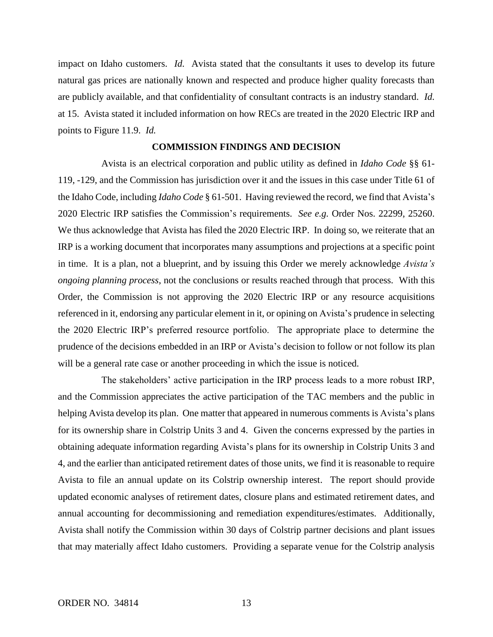impact on Idaho customers. *Id.* Avista stated that the consultants it uses to develop its future natural gas prices are nationally known and respected and produce higher quality forecasts than are publicly available, and that confidentiality of consultant contracts is an industry standard. *Id.*  at 15. Avista stated it included information on how RECs are treated in the 2020 Electric IRP and points to Figure 11.9. *Id.*

### **COMMISSION FINDINGS AND DECISION**

Avista is an electrical corporation and public utility as defined in *Idaho Code* §§ 61- 119, -129, and the Commission has jurisdiction over it and the issues in this case under Title 61 of the Idaho Code, including *Idaho Code* § 61-501. Having reviewed the record, we find that Avista's 2020 Electric IRP satisfies the Commission's requirements. *See e.g.* Order Nos. 22299, 25260. We thus acknowledge that Avista has filed the 2020 Electric IRP. In doing so, we reiterate that an IRP is a working document that incorporates many assumptions and projections at a specific point in time. It is a plan, not a blueprint, and by issuing this Order we merely acknowledge *Avista's ongoing planning process*, not the conclusions or results reached through that process. With this Order, the Commission is not approving the 2020 Electric IRP or any resource acquisitions referenced in it, endorsing any particular element in it, or opining on Avista's prudence in selecting the 2020 Electric IRP's preferred resource portfolio. The appropriate place to determine the prudence of the decisions embedded in an IRP or Avista's decision to follow or not follow its plan will be a general rate case or another proceeding in which the issue is noticed.

The stakeholders' active participation in the IRP process leads to a more robust IRP, and the Commission appreciates the active participation of the TAC members and the public in helping Avista develop its plan. One matter that appeared in numerous comments is Avista's plans for its ownership share in Colstrip Units 3 and 4. Given the concerns expressed by the parties in obtaining adequate information regarding Avista's plans for its ownership in Colstrip Units 3 and 4, and the earlier than anticipated retirement dates of those units, we find it is reasonable to require Avista to file an annual update on its Colstrip ownership interest. The report should provide updated economic analyses of retirement dates, closure plans and estimated retirement dates, and annual accounting for decommissioning and remediation expenditures/estimates. Additionally, Avista shall notify the Commission within 30 days of Colstrip partner decisions and plant issues that may materially affect Idaho customers. Providing a separate venue for the Colstrip analysis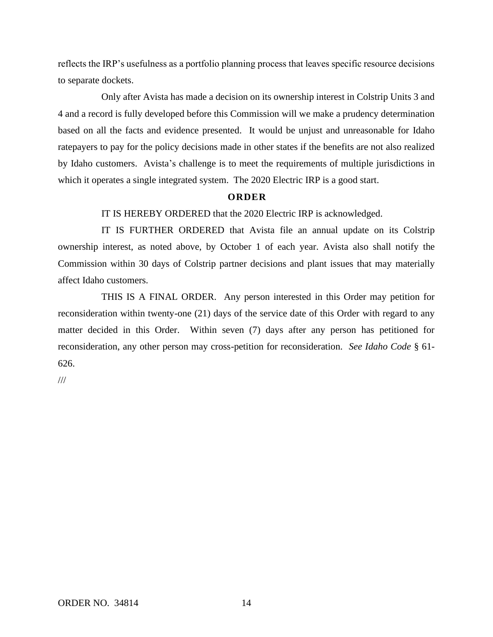reflects the IRP's usefulness as a portfolio planning process that leaves specific resource decisions to separate dockets.

Only after Avista has made a decision on its ownership interest in Colstrip Units 3 and 4 and a record is fully developed before this Commission will we make a prudency determination based on all the facts and evidence presented. It would be unjust and unreasonable for Idaho ratepayers to pay for the policy decisions made in other states if the benefits are not also realized by Idaho customers. Avista's challenge is to meet the requirements of multiple jurisdictions in which it operates a single integrated system. The 2020 Electric IRP is a good start.

## **O R D E R**

IT IS HEREBY ORDERED that the 2020 Electric IRP is acknowledged.

IT IS FURTHER ORDERED that Avista file an annual update on its Colstrip ownership interest, as noted above, by October 1 of each year. Avista also shall notify the Commission within 30 days of Colstrip partner decisions and plant issues that may materially affect Idaho customers.

THIS IS A FINAL ORDER. Any person interested in this Order may petition for reconsideration within twenty-one (21) days of the service date of this Order with regard to any matter decided in this Order. Within seven (7) days after any person has petitioned for reconsideration, any other person may cross-petition for reconsideration. *See Idaho Code* § 61- 626.

///